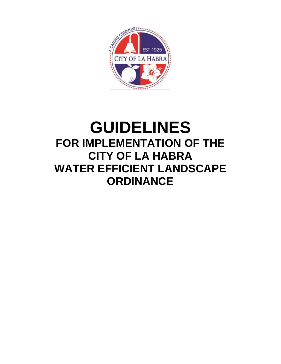

# **GUIDELINES FOR IMPLEMENTATION OF THE CITY OF LA HABRA WATER EFFICIENT LANDSCAPE ORDINANCE**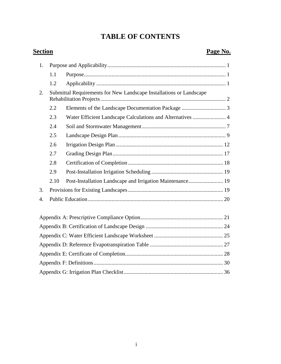## **TABLE OF CONTENTS**

### **Section Page No.**

| 1. |      |                                                                     |  |  |  |  |  |  |
|----|------|---------------------------------------------------------------------|--|--|--|--|--|--|
|    | 1.1  |                                                                     |  |  |  |  |  |  |
|    | 1.2  |                                                                     |  |  |  |  |  |  |
| 2. |      | Submittal Requirements for New Landscape Installations or Landscape |  |  |  |  |  |  |
|    | 2.2  |                                                                     |  |  |  |  |  |  |
|    | 2.3  | Water Efficient Landscape Calculations and Alternatives  4          |  |  |  |  |  |  |
|    | 2.4  |                                                                     |  |  |  |  |  |  |
|    | 2.5  |                                                                     |  |  |  |  |  |  |
|    | 2.6  |                                                                     |  |  |  |  |  |  |
|    | 2.7  |                                                                     |  |  |  |  |  |  |
|    | 2.8  |                                                                     |  |  |  |  |  |  |
|    | 2.9  |                                                                     |  |  |  |  |  |  |
|    | 2.10 | Post-Installation Landscape and Irrigation Maintenance 19           |  |  |  |  |  |  |
| 3. |      |                                                                     |  |  |  |  |  |  |
| 4. |      |                                                                     |  |  |  |  |  |  |
|    |      |                                                                     |  |  |  |  |  |  |
|    |      |                                                                     |  |  |  |  |  |  |
|    |      |                                                                     |  |  |  |  |  |  |
|    |      |                                                                     |  |  |  |  |  |  |
|    |      |                                                                     |  |  |  |  |  |  |
|    |      |                                                                     |  |  |  |  |  |  |
|    |      |                                                                     |  |  |  |  |  |  |
|    |      |                                                                     |  |  |  |  |  |  |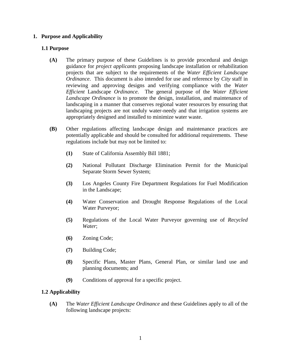#### <span id="page-2-0"></span>**1. Purpose and Applicability**

#### <span id="page-2-1"></span>**1.1 Purpose**

- **(A)** The primary purpose of these Guidelines is to provide procedural and design guidance for *project applicants* proposing landscape installation or rehabilitation projects that are subject to the requirements of the *Water Efficient Landscape Ordinance*. This document is also intended for use and reference by *City* staff in reviewing and approving designs and verifying compliance with the *Water Efficient* Landscape *Ordinance*. The general purpose of the *Water Efficient Landscape Ordinance* is to promote the design, installation, and maintenance of landscaping in a manner that conserves regional water resources by ensuring that landscaping projects are not unduly water-needy and that irrigation systems are appropriately designed and installed to minimize water waste.
- **(B)** Other regulations affecting landscape design and maintenance practices are potentially applicable and should be consulted for additional requirements. These regulations include but may not be limited to:
	- **(1)** State of California Assembly Bill 1881;
	- **(2)** National Pollutant Discharge Elimination Permit for the Municipal Separate Storm Sewer System;
	- **(3)** Los Angeles County Fire Department Regulations for Fuel Modification in the Landscape;
	- **(4)** Water Conservation and Drought Response Regulations of the Local Water Purveyor;
	- **(5)** Regulations of the Local Water Purveyor governing use of *Recycled Water*;
	- **(6)** Zoning Code;
	- **(7)** Building Code;
	- **(8)** Specific Plans, Master Plans, General Plan, or similar land use and planning documents; and
	- **(9)** Conditions of approval for a specific project.

#### <span id="page-2-2"></span>**1.2 Applicability**

**(A)** The *Water Efficient Landscape Ordinance* and these Guidelines apply to all of the following landscape projects: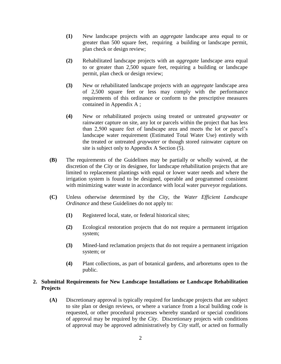- **(1)** New landscape projects with an *aggregate* landscape area equal to or greater than 500 square feet, requiring a building or landscape permit, plan check or design review;
- **(2)** Rehabilitated landscape projects with an *aggregate* landscape area equal to or greater than 2,500 square feet, requiring a building or landscape permit, plan check or design review;
- **(3)** New or rehabilitated landscape projects with an *aggregate* landscape area of 2,500 square feet or less may comply with the performance requirements of this ordinance or conform to the prescriptive measures contained in Appendix A ;
- **(4)** New or rehabilitated projects using treated or untreated *graywater* or rainwater capture on site, any lot or parcels within the project that has less than 2,500 square feet of landscape area and meets the lot or parcel's landscape water requirement (Estimated Total Water Use) entirely with the treated or untreated *graywater* or though stored rainwater capture on site is subject only to Appendix A Section (5).
- **(B)** The requirements of the Guidelines may be partially or wholly waived, at the discretion of the *City* or its designee, for landscape rehabilitation projects that are limited to replacement plantings with equal or lower water needs and where the irrigation system is found to be designed, operable and programmed consistent with minimizing water waste in accordance with local water purveyor regulations.
- **(C)** Unless otherwise determined by the *City*, the *Water Efficient Landscape Ordinance* and these Guidelines do not apply to:
	- **(1)** Registered local, state, or federal historical sites;
	- **(2)** Ecological restoration projects that do not require a permanent irrigation system;
	- **(3)** Mined-land reclamation projects that do not require a permanent irrigation system; or
	- **(4)** Plant collections, as part of botanical gardens, and arboretums open to the public.

#### <span id="page-3-0"></span>**2. Submittal Requirements for New Landscape Installations or Landscape Rehabilitation Projects**

**(A)** Discretionary approval is typically required for landscape projects that are subject to site plan or design reviews, or where a variance from a local building code is requested, or other procedural processes whereby standard or special conditions of approval may be required by the *City*. Discretionary projects with conditions of approval may be approved administratively by *City* staff, or acted on formally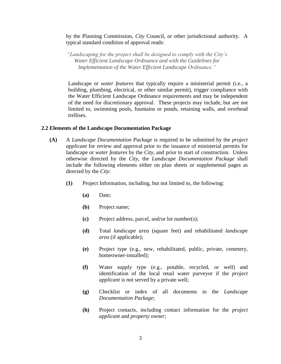by the Planning Commission, *City* Council, or other jurisdictional authority. A typical standard condition of approval reads:

*"Landscaping for the project shall be designed to comply with the City's Water Efficient Landscape Ordinance and with the Guidelines for Implementation of the Water Efficient Landscape Ordinance."*

Landscape or *water features* that typically require a ministerial permit (i.e., a building, plumbing, electrical, or other similar permit), trigger compliance with the Water Efficient Landscape Ordinance requirements and may be independent of the need for discretionary approval. These projects may include, but are not limited to, swimming pools, fountains or ponds, retaining walls, and overhead trellises.

#### <span id="page-4-0"></span>**2.2 Elements of the Landscape Documentation Package**

- **(A)** A *Landscape Documentation Package* is required to be submitted by the *project applicant* for review and approval prior to the issuance of ministerial permits for landscape or *water features* by the *City*, and prior to start of construction. Unless otherwise directed by the *City*, the *Landscape Documentation Package* shall include the following elements either on plan sheets or supplemental pages as directed by the *City*:
	- **(1)** Project Information, including, but not limited to, the following:
		- **(a)** Date;
		- **(b)** Project name;
		- **(c)** Project address, parcel, and/or lot number(s);
		- **(d)** Total *landscape area* (square feet) and rehabilitated *landscape area* (if applicable);
		- **(e)** Project type (e.g., new, rehabilitated, public, private, cemetery, homeowner-installed);
		- **(f)** Water supply type (e.g., potable, recycled, or well) and identification of the local retail water purveyor if the *project applicant* is not served by a private well;
		- **(g)** Checklist or index of all documents in the *Landscape Documentation Package*;
		- **(h)** Project contacts, including contact information for the *project applicant* and *property owner*;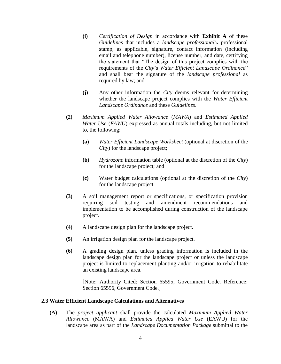- **(i)** *Certification of Design* in accordance with **Exhibit A** of these *Guidelines* that includes a *landscape professional's* professional stamp, as applicable, signature, contact information (including email and telephone number), license number, and date, certifying the statement that "The design of this project complies with the requirements of the *City*'s *Water Efficient Landscape Ordinance*" and shall bear the signature of the *landscape professional* as required by law; and
- **(j)** Any other information the *City* deems relevant for determining whether the landscape project complies with the *Water Efficient Landscape Ordinance* and these *Guidelines*.
- **(2)** *Maximum Applied Water Allowance* (*MAWA*) and *Estimated Applied Water Use* (*EAWU*) expressed as annual totals including, but not limited to, the following:
	- **(a)** *Water Efficient Landscape Worksheet* (optional at discretion of the *City*) for the landscape project;
	- **(b)** *Hydrozone* information table (optional at the discretion of the *City*) for the landscape project; and
	- **(c)** Water budget calculations (optional at the discretion of the *City*) for the landscape project.
- **(3)** A soil management report or specifications, or specification provision requiring soil testing and amendment recommendations and implementation to be accomplished during construction of the landscape project.
- **(4)** A landscape design plan for the landscape project.
- **(5)** An irrigation design plan for the landscape project.
- **(6)** A grading design plan, unless grading information is included in the landscape design plan for the landscape project or unless the landscape project is limited to replacement planting and/or irrigation to rehabilitate an existing landscape area.

[Note: Authority Cited: Section 65595, Government Code. Reference: Section 65596, Government Code.]

#### <span id="page-5-0"></span>**2.3 Water Efficient Landscape Calculations and Alternatives**

**(A)** The *project applicant* shall provide the calculated *Maximum Applied Water Allowance* (MAWA) and *Estimated Applied Water Use* (EAWU) for the landscape area as part of the *Landscape Documentation Package* submittal to the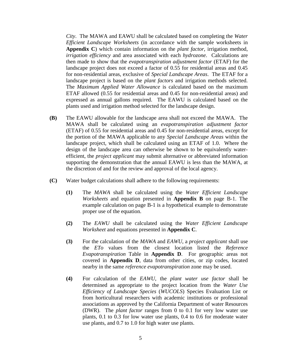*City*. The MAWA and EAWU shall be calculated based on completing the *Water Efficient Landscape Worksheets* (in accordance with the sample worksheets in **Appendix C**) which contain information on the *plant factor*, irrigation method, *irrigation efficiency* and area associated with each *hydrozone*. Calculations are then made to show that the *evapotranspiration adjustment factor* (ETAF) for the landscape project does not exceed a factor of 0.55 for residential areas and 0.45 for non-residential areas, exclusive of *Special Landscape Areas*. The ETAF for a landscape project is based on the *plant factors* and irrigation methods selected. The *Maximum Applied Water Allowance* is calculated based on the maximum ETAF allowed (0.55 for residential areas and 0.45 for non-residential areas) and expressed as annual gallons required. The EAWU is calculated based on the plants used and irrigation method selected for the landscape design.

- **(B)** The EAWU allowable for the landscape area shall not exceed the MAWA. The MAWA shall be calculated using an *evapotranspiration adjustment factor* (ETAF) of 0.55 for residential areas and 0.45 for non-residential areas, except for the portion of the MAWA applicable to any *Special Landscape Areas* within the landscape project, which shall be calculated using an ETAF of 1.0. Where the design of the landscape area can otherwise be shown to be equivalently waterefficient, the *project applicant* may submit alternative or abbreviated information supporting the demonstration that the annual EAWU is less than the MAWA, at the discretion of and for the review and approval of the local agency.
- **(C)** Water budget calculations shall adhere to the following requirements:
	- **(1)** The *MAWA* shall be calculated using the *Water Efficient Landscape Worksheets* and equation presented in **Appendix B** on page B-1. The example calculation on page B-1 is a hypothetical example to demonstrate proper use of the equation.
	- **(2)** The *EAWU* shall be calculated using the *Water Efficient Landscape Worksheet* and equations presented in **Appendix C**.
	- **(3)** For the calculation of the *MAWA* and *EAWU*, a *project applicant* shall use the *ETo* values from the closest location listed the *Reference Evapotranspiration* Table in **Appendix D**. For geographic areas not covered in **Appendix D**, data from other cities, or zip codes, located nearby in the same *reference evapotranspiration* zone may be used.
	- **(4)** For calculation of the *EAWU*, the *plant water use factor* shall be determined as appropriate to the project location from the *Water Use Efficiency of Landscape Species* (*WUCOLS*) Species Evaluation List or from horticultural researchers with academic institutions or professional associations as approved by the California Department of water Resources (DWR). The *plant factor* ranges from 0 to 0.1 for very low water use plants, 0.1 to 0.3 for low water use plants, 0.4 to 0.6 for moderate water use plants, and 0.7 to 1.0 for high water use plants.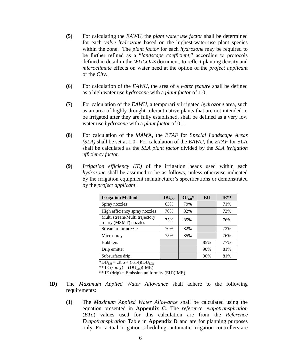- **(5)** For calculating the *EAWU*, the *plant water use factor* shall be determined for each *valve hydrozone* based on the highest-water-use plant species within the zone. The *plant factor* for each *hydrozone* may be required to be further refined as a "*landscape coefficient*," according to protocols defined in detail in the *WUCOLS* document, to reflect planting density and *microclimate* effects on water need at the option of the *project applicant* or the *City*.
- **(6)** For calculation of the *EAWU*, the area of a *water feature* shall be defined as a high water use *hydrozone* with a *plant factor* of 1.0.
- **(7)** For calculation of the *EAWU*, a temporarily irrigated *hydrozone* area, such as an area of highly drought-tolerant native plants that are not intended to be irrigated after they are fully established, shall be defined as a very low water use *hydrozone* with a *plant factor* of 0.1.
- **(8)** For calculation of the *MAW*A, the *ETAF* for S*pecial Landscape Areas (SLA)* shall be set at 1.0. For calculation of the *EAWU*, the *ETAF* for SLA shall be calculated as the *SLA plant factor* divided by the *SLA irrigation efficiency factor*.
- **(9)** *Irrigation efficiency (IE)* of the irrigation heads used within each *hydrozone* shall be assumed to be as follows, unless otherwise indicated by the irrigation equipment manufacturer's specifications or demonstrated by the *project applicant*:

| <b>Irrigation Method</b>                               | $DU_{LQ}$ | $DULI$ * | EU  | $IF**$ |
|--------------------------------------------------------|-----------|----------|-----|--------|
| Spray nozzles                                          | 65%       | 79%      |     | 71%    |
| High efficiency spray nozzles                          | 70%       | 82%      |     | 73%    |
| Multi stream/Multi trajectory<br>rotary (MSMT) nozzles | 75%       | 85%      |     | 76%    |
| Stream rotor nozzle                                    | 70%       | 82%      |     | 73%    |
| Microspray                                             | 75%       | 85%      |     | 76%    |
| <b>Bubblers</b>                                        |           |          | 85% | 77%    |
| Drip emitter                                           |           |          | 90% | 81%    |
| Subsurface drip                                        |           |          | 90% | 81%    |

 $*DU_{LH} = .386 + (.614)(DU_{LQ}$ 

\*\* IE (spray) =  $(DU_{LH})(IME)$ 

\*\* IE (drip) = Emission uniformity (EU)(IME)

- **(D)** The *Maximum Applied Water Allowance* shall adhere to the following requirements:
	- **(1)** The *Maximum Applied Water Allowance* shall be calculated using the equation presented in **Appendix C**. The *reference evapotranspiration* (*ETo*) values used for this calculation are from the *Reference Evapotranspiration* Table in **Appendix D** and are for planning purposes only. For actual irrigation scheduling, automatic irrigation controllers are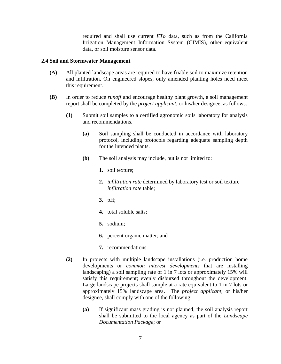required and shall use current *ETo* data, such as from the California Irrigation Management Information System (CIMIS), other equivalent data, or soil moisture sensor data.

#### <span id="page-8-0"></span>**2.4 Soil and Stormwater Management**

- **(A)** All planted landscape areas are required to have friable soil to maximize retention and infiltration. On engineered slopes, only amended planting holes need meet this requirement.
- **(B)** In order to reduce *runoff* and encourage healthy plant growth, a soil management report shall be completed by the *project applicant*, or his/her designee, as follows:
	- **(1)** Submit soil samples to a certified agronomic soils laboratory for analysis and recommendations.
		- **(a)** Soil sampling shall be conducted in accordance with laboratory protocol, including protocols regarding adequate sampling depth for the intended plants.
		- **(b)** The soil analysis may include, but is not limited to:
			- **1.** soil texture;
			- **2.** *infiltration rate* determined by laboratory test or soil texture *infiltration rate* table;
			- **3.** pH;
			- **4.** total soluble salts;
			- **5.** sodium;
			- **6.** percent organic matter; and
			- **7.** recommendations.
	- **(2)** In projects with multiple landscape installations (i.e. production home developments or *common interest developments* that are installing landscaping) a soil sampling rate of 1 in 7 lots or approximately 15% will satisfy this requirement; evenly disbursed throughout the development. Large landscape projects shall sample at a rate equivalent to 1 in 7 lots or approximately 15% landscape area. The *project applicant*, or his/her designee, shall comply with one of the following:
		- **(a)** If significant mass grading is not planned, the soil analysis report shall be submitted to the local agency as part of the *Landscape Documentation Package*; or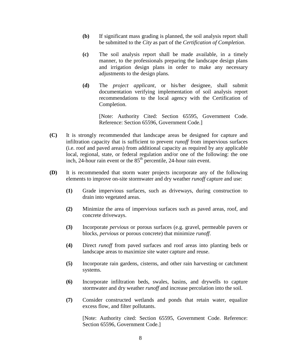- **(b)** If significant mass grading is planned, the soil analysis report shall be submitted to the *City* as part of the *Certification of Completion*.
- **(c)** The soil analysis report shall be made available, in a timely manner, to the professionals preparing the landscape design plans and irrigation design plans in order to make any necessary adjustments to the design plans.
- **(d)** The *project applicant*, or his/her designee, shall submit documentation verifying implementation of soil analysis report recommendations to the local agency with the Certification of Completion.

[Note: Authority Cited: Section 65595, Government Code. Reference: Section 65596, Government Code.]

- **(C)** It is strongly recommended that landscape areas be designed for capture and infiltration capacity that is sufficient to prevent *runoff* from impervious surfaces (i.e. roof and paved areas) from additional capacity as required by any applicable local, regional, state, or federal regulation and/or one of the following: the one inch, 24-hour rain event or the 85<sup>th</sup> percentile, 24-hour rain event.
- **(D)** It is recommended that storm water projects incorporate any of the following elements to improve on-site stormwater and dry weather *runoff* capture and use:
	- **(1)** Grade impervious surfaces, such as driveways, during construction to drain into vegetated areas.
	- **(2)** Minimize the area of impervious surfaces such as paved areas, roof, and concrete driveways.
	- **(3)** Incorporate *pervious* or porous surfaces (e.g. gravel, permeable pavers or blocks, *pervious* or porous concrete) that minimize *runoff*.
	- **(4)** Direct *runoff* from paved surfaces and roof areas into planting beds or landscape areas to maximize site water capture and reuse.
	- **(5)** Incorporate rain gardens, cisterns, and other rain harvesting or catchment systems.
	- **(6)** Incorporate infiltration beds, swales, basins, and drywells to capture stormwater and dry weather *runoff* and increase percolation into the soil.
	- **(7)** Consider constructed wetlands and ponds that retain water, equalize excess flow, and filter pollutants.

[Note: Authority cited: Section 65595, Government Code. Reference: Section 65596, Government Code.]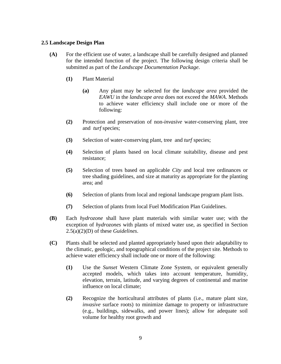#### <span id="page-10-0"></span>**2.5 Landscape Design Plan**

- **(A)** For the efficient use of water, a landscape shall be carefully designed and planned for the intended function of the project. The following design criteria shall be submitted as part of the *Landscape Documentation Package*.
	- **(1)** Plant Material
		- **(a)** Any plant may be selected for the *landscape area* provided the *EAWU* in the *landscape area* does not exceed the *MAWA*. Methods to achieve water efficiency shall include one or more of the following:
	- **(2)** Protection and preservation of non-*invasive* water-conserving plant, tree and *turf* species;
	- **(3)** Selection of water-conserving plant, tree and *turf* species;
	- **(4)** Selection of plants based on local climate suitability, disease and pest resistance;
	- **(5)** Selection of trees based on applicable *City* and local tree ordinances or tree shading guidelines, and size at maturity as appropriate for the planting area; and
	- **(6)** Selection of plants from local and regional landscape program plant lists.
	- **(7)** Selection of plants from local Fuel Modification Plan Guidelines.
- **(B)** Each *hydrozone* shall have plant materials with similar water use; with the exception of *hydrozones* with plants of mixed water use, as specified in Section 2.5(a)(2)(D) of these *Guidelines*.
- **(C)** Plants shall be selected and planted appropriately based upon their adaptability to the climatic, geologic, and topographical conditions of the project site. Methods to achieve water efficiency shall include one or more of the following:
	- **(1)** Use the *Sunset* Western Climate Zone System, or equivalent generally accepted models, which takes into account temperature, humidity, elevation, terrain, latitude, and varying degrees of continental and marine influence on local climate;
	- **(2)** Recognize the horticultural attributes of plants (i.e., mature plant size, *invasive* surface roots) to minimize damage to property or infrastructure (e.g., buildings, sidewalks, and power lines); allow for adequate soil volume for healthy root growth and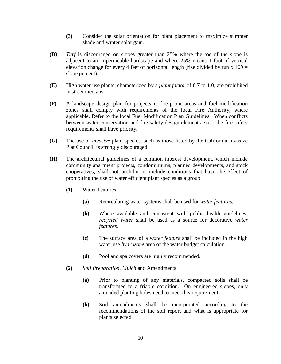- **(3)** Consider the solar orientation for plant placement to maximize summer shade and winter solar gain.
- **(D)** *Turf* is discouraged on slopes greater than 25% where the toe of the slope is adjacent to an impermeable hardscape and where 25% means 1 foot of vertical elevation change for every 4 feet of horizontal length (rise divided by run  $x 100 =$ slope percent).
- **(E)** High water use plants, characterized by a *plant factor* of 0.7 to 1.0, are prohibited in street medians.
- **(F)** A landscape design plan for projects in fire-prone areas and fuel modification zones shall comply with requirements of the local Fire Authority, where applicable. Refer to the local Fuel Modification Plan Guidelines. When conflicts between water conservation and fire safety design elements exist, the fire safety requirements shall have priority.
- **(G)** The use of *invasive* plant species, such as those listed by the California Invasive Plat Council, is strongly discouraged.
- **(H)** The architectural guidelines of a common interest development, which include community apartment projects, condominiums, planned developments, and stock cooperatives, shall not prohibit or include conditions that have the effect of prohibiting the use of water efficient plant species as a group.
	- **(1)** Water Features
		- **(a)** Recirculating water systems shall be used for *water features.*
		- **(b)** Where available and consistent with public health guidelines, *recycled water* shall be used as a source for decorative *water features.*
		- **(c)** The surface area of a *water feature* shall be included in the high water use *hydrozone* area of the water budget calculation.
		- **(d)** Pool and spa covers are highly recommended.
	- **(2)** *Soil Preparation*, *Mulch* and Amendments
		- **(a)** Prior to planting of any materials, compacted soils shall be transformed to a friable condition. On engineered slopes, only amended planting holes need to meet this requirement.
		- **(b)** Soil amendments shall be incorporated according to the recommendations of the soil report and what is appropriate for plants selected.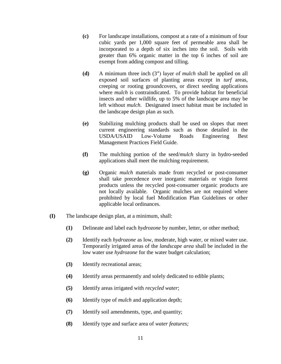- **(c)** For landscape installations, compost at a rate of a minimum of four cubic yards per 1,000 square feet of permeable area shall be incorporated to a depth of six inches into the soil. Soils with greater than 6% organic matter in the top 6 inches of soil are exempt from adding compost and tilling.
- **(d)** A minimum three inch (3″) layer of *mulch* shall be applied on all exposed soil surfaces of planting areas except in *turf* areas, creeping or rooting groundcovers, or direct seeding applications where *mulch* is contraindicated. To provide habitat for beneficial insects and other wildlife, up to 5% of the landscape area may be left without *mulch*. Designated insect habitat must be included in the landscape design plan as such.
- **(e)** Stabilizing mulching products shall be used on slopes that meet current engineering standards such as those detailed in the USDA/USAID Low-Volume Roads Engineering Best Management Practices Field Guide.
- **(f)** The mulching portion of the seed/*mulch* slurry in hydro-seeded applications shall meet the mulching requirement.
- **(g)** Organic *mulch* materials made from recycled or post-consumer shall take precedence over inorganic materials or virgin forest products unless the recycled post-consumer organic products are not locally available. Organic mulches are not required where prohibited by local fuel Modification Plan Guidelines or other applicable local ordinances.
- **(I)** The landscape design plan, at a minimum, shall:
	- **(1)** Delineate and label each *hydrozone* by number, letter, or other method;
	- **(2)** Identify each *hydrozone* as low, moderate, high water, or mixed water use. Temporarily irrigated areas of the *landscape area* shall be included in the low water use *hydrozone* for the water budget calculation;
	- **(3)** Identify recreational areas;
	- **(4)** Identify areas permanently and solely dedicated to edible plants;
	- **(5)** Identify areas irrigated with *recycled water*;
	- **(6)** Identify type of *mulch* and application depth;
	- **(7)** Identify soil amendments, type, and quantity;
	- **(8)** Identify type and surface area of *water features;*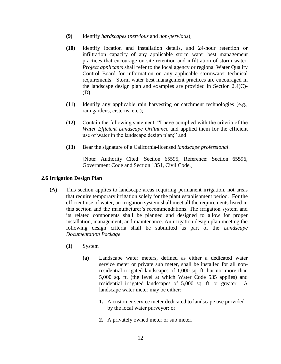- **(9)** Identify *hardscapes* (*pervious* and *non-pervious*);
- **(10)** Identify location and installation details, and 24-hour retention or infiltration capacity of any applicable storm water best management practices that encourage on-site retention and infiltration of storm water. *Project applicants* shall refer to the local agency or regional Water Quality Control Board for information on any applicable stormwater technical requirements. Storm water best management practices are encouraged in the landscape design plan and examples are provided in Section 2.4(C)- (D).
- **(11)** Identify any applicable rain harvesting or catchment technologies (e.g., rain gardens, cisterns, etc.);
- **(12)** Contain the following statement: "I have complied with the criteria of the *Water Efficient Landscape Ordinance* and applied them for the efficient use of water in the landscape design plan;" and
- **(13)** Bear the signature of a California-licensed *landscape professional*.

[Note: Authority Cited: Section 65595, Reference: Section 65596, Government Code and Section 1351, Civil Code.]

#### <span id="page-13-0"></span>**2.6 Irrigation Design Plan**

- **(A)** This section applies to landscape areas requiring permanent irrigation, not areas that require temporary irrigation solely for the plant establishment period. For the efficient use of water, an irrigation system shall meet all the requirements listed in this section and the manufacturer's recommendations. The irrigation system and its related components shall be planned and designed to allow for proper installation, management, and maintenance. An irrigation design plan meeting the following design criteria shall be submitted as part of the *Landscape Documentation Package*.
	- **(1)** System
		- **(a)** Landscape water meters, defined as either a dedicated water service meter or private sub meter, shall be installed for all nonresidential irrigated landscapes of 1,000 sq. ft. but not more than 5,000 sq. ft. (the level at which Water Code 535 applies) and residential irrigated landscapes of 5,000 sq. ft. or greater. A landscape water meter may be either:
			- **1.** A customer service meter dedicated to landscape use provided by the local water purveyor; or
			- **2.** A privately owned meter or sub meter.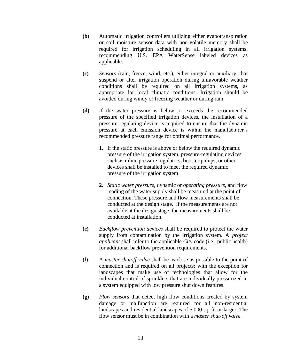- **(b)** Automatic irrigation controllers utilizing either evapotranspiration or soil moisture sensor data with non-volatile memory shall be required for irrigation scheduling in all irrigation systems, recommending U.S. EPA WaterSense labeled devices as applicable.
- **(c)** *Sensors* (rain, freeze, wind, etc.), either integral or auxiliary, that suspend or alter irrigation operation during unfavorable weather conditions shall be required on all irrigation systems, as appropriate for local climatic conditions. Irrigation should be avoided during windy or freezing weather or during rain.
- **(d)** If the water pressure is below or exceeds the recommended pressure of the specified irrigation devices, the installation of a pressure regulating device is required to ensure that the dynamic pressure at each emission device is within the manufacturer's recommended pressure range for optimal performance.
	- **1.** If the static pressure is above or below the required dynamic pressure of the irrigation system, pressure-regulating devices such as inline pressure regulators, booster pumps, or other devices shall be installed to meet the required dynamic pressure of the irrigation system.
	- **2.** *Static water pressure*, dynamic or *operating pressure,* and flow reading of the water supply shall be measured at the point of connection. These pressure and flow measurements shall be conducted at the design stage. If the measurements are not available at the design stage, the measurements shall be conducted at installation.
- **(e)** *Backflow prevention devices* shall be required to protect the water supply from contamination by the irrigation system. A *project applicant* shall refer to the applicable *City* code (i.e., public health) for additional backflow prevention requirements.
- **(f)** A *master shutoff valve* shall be as close as possible to the point of connection and is required on all projects; with the exception for landscapes that make use of technologies that allow for the individual control of sprinklers that are individually pressurized in a system equipped with low pressure shut down features.
- **(g)** *Flow sensors* that detect high flow conditions created by system damage or malfunction are required for all non-residential landscapes and residential landscapes of 5,000 sq. ft. or larger. The flow sensor must be in combination with a *master shut-off valve*.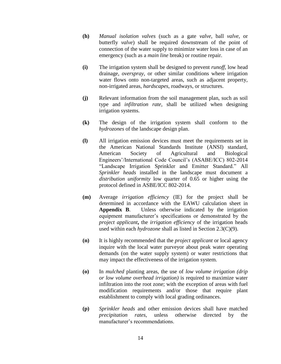- **(h)** *Manual isolation valves* (such as a gate *valve*, ball *valve*, or butterfly *valve*) shall be required downstream of the point of connection of the water supply to minimize water loss in case of an emergency (such as a *main line* break) or routine repair.
- **(i)** The irrigation system shall be designed to prevent *runoff*, low head drainage, *overspray*, or other similar conditions where irrigation water flows onto non-targeted areas, such as adjacent property, non-irrigated areas, *hardscapes*, roadways, or structures.
- **(j)** Relevant information from the soil management plan, such as soil type and *infiltration rate*, shall be utilized when designing irrigation systems.
- **(k)** The design of the irrigation system shall conform to the *hydrozones* of the landscape design plan.
- **(l)** All irrigation emission devices must meet the requirements set in the American National Standards Institute (ANSI) standard, American Society of Agricultural and Biological Engineers'/International Code Council's (ASABE/ICC) 802-2014 "Landscape Irrigation Sprinkler and Emitter Standard." All *Sprinkler heads* installed in the landscape must document a *distribution uniformity* low quarter of 0.65 or higher using the protocol defined in ASBE/ICC 802-2014.
- **(m)** Average *irrigation efficiency* (IE) for the project shall be determined in accordance with the EAWU calculation sheet in **Appendix B**. Unless otherwise indicated by the irrigation equipment manufacturer's specifications or demonstrated by the *project applicant***,** the *irrigation efficiency* of the irrigation heads used within each *hydrozone* shall as listed in Section 2.3(C)(9).
- **(n)** It is highly recommended that the *project applicant* or local agency inquire with the local water purveyor about peak water operating demands (on the water supply system) or water restrictions that may impact the effectiveness of the irrigation system.
- **(o)** In *mulched* planting areas, the use of *low volume irrigation (drip or low volume overhead irrigation)* is required to maximize water infiltration into the root zone; with the exception of areas with fuel modification requirements and/or those that require plant establishment to comply with local grading ordinances.
- **(p)** *Sprinkler heads* and other emission devices shall have matched *precipitation rates*, unless otherwise directed by the manufacturer's recommendations.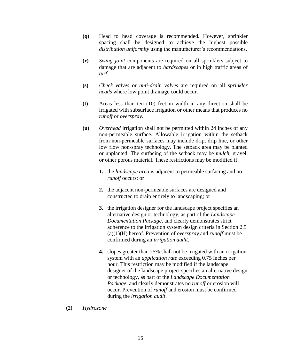- **(q)** Head to head coverage is recommended. However, sprinkler spacing shall be designed to achieve the highest possible *distribution uniformity* using the manufacturer's recommendations.
- **(r)** *Swing joint* components are required on all sprinklers subject to damage that are adjacent to *hardscapes* or in high traffic areas of *turf*.
- **(s)** *Check valves* or *anti-drain valves* are required on all *sprinkler heads* where low point drainage could occur.
- **(t)** Areas less than ten (10) feet in width in any direction shall be irrigated with subsurface irrigation or other means that produces no *runoff* or *overspray*.
- **(u)** *Overhead* irrigation shall not be permitted within 24 inches of any non-permeable surface. Allowable irrigation within the setback from non-permeable surfaces may include drip, drip line, or other low flow non-spray technology. The setback area may be planted or unplanted. The surfacing of the setback may be *mulch*, gravel, or other porous material. These restrictions may be modified if:
	- **1.** the *landscape area* is adjacent to permeable surfacing and no *runoff* occurs; or
	- **2.** the adjacent non-permeable surfaces are designed and constructed to drain entirely to landscaping; or
	- **3.** the irrigation designer for the landscape project specifies an alternative design or technology, as part of the *Landscape Documentation Package,* and clearly demonstrates strict adherence to the irrigation system design criteria in Section 2.5 (a)(1)(H) hereof. Prevention of *overspray* and *runoff* must be confirmed during an *irrigation audit*.
	- **4.** slopes greater than 25% shall not be irrigated with an irrigation system with an *application rate* exceeding 0.75 inches per hour. This restriction may be modified if the landscape designer of the landscape project specifies an alternative design or technology, as part of the *Landscape Documentation Package*, and clearly demonstrates no *runoff* or erosion will occur. Prevention of *runoff* and erosion must be confirmed during the *irrigation audit*.
- **(2)** *Hydrozone*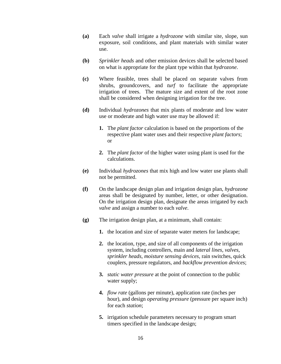- **(a)** Each *valve* shall irrigate a *hydrozone* with similar site, slope, sun exposure, soil conditions, and plant materials with similar water use.
- **(b)** *Sprinkler heads* and other emission devices shall be selected based on what is appropriate for the plant type within that *hydrozone*.
- **(c)** Where feasible, trees shall be placed on separate valves from shrubs, groundcovers, and *turf* to facilitate the appropriate irrigation of trees. The mature size and extent of the root zone shall be considered when designing irrigation for the tree.
- **(d)** Individual *hydrozones* that mix plants of moderate and low water use or moderate and high water use may be allowed if:
	- **1.** The *plant factor* calculation is based on the proportions of the respective plant water uses and their respective *plant factors*; or
	- **2.** The *plant factor* of the higher water using plant is used for the calculations.
- **(e)** Individual *hydrozones* that mix high and low water use plants shall not be permitted.
- **(f)** On the landscape design plan and irrigation design plan, *hydrozone* areas shall be designated by number, letter, or other designation. On the irrigation design plan, designate the areas irrigated by each *valve* and assign a number to each *valve*.
- **(g)** The irrigation design plan, at a minimum, shall contain:
	- **1.** the location and size of separate water meters for landscape;
	- **2.** the location, type, and size of all components of the irrigation system, including controllers, main and *lateral lines*, *valves*, *sprinkler heads*, *moisture sensing devices*, rain switches, quick couplers, pressure regulators, and *backflow prevention devices*;
	- **3.** *static water pressure* at the point of connection to the public water supply;
	- **4.** *flow rate* (gallons per minute), application rate (inches per hour), and design *operating pressure* (pressure per square inch) for each *station*;
	- **5.** irrigation schedule parameters necessary to program smart timers specified in the landscape design;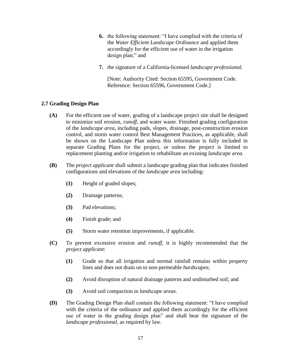- **6.** the following statement: "I have complied with the criteria of the *Water Efficient Landscape Ordinance* and applied them accordingly for the efficient use of water in the irrigation design plan;" and
- **7.** the signature of a California-licensed *landscape professional.*

[Note: Authority Cited: Section 65595, Government Code. Reference: Section 65596, Government Code.]

#### <span id="page-18-0"></span>**2.7 Grading Design Plan**

- **(A)** For the efficient use of water, grading of a landscape project site shall be designed to minimize soil erosion, *runoff,* and water waste. Finished grading configuration of the *landscape area*, including pads, slopes, drainage, post-construction erosion control, and storm water control Best Management Practices, as applicable, shall be shown on the Landscape Plan unless this information is fully included in separate Grading Plans for the project, or unless the project is limited to replacement planting and/or irrigation to rehabilitate an existing *landscape area*.
- **(B)** The *project applicant* shall submit a landscape grading plan that indicates finished configurations and elevations of the *landscape area* including:
	- **(1)** Height of graded slopes;
	- **(2)** Drainage patterns;
	- **(3)** Pad elevations;
	- **(4)** Finish grade; and
	- **(5)** Storm water retention improvements, if applicable.
- **(C)** To prevent excessive erosion and *runoff*, it is highly recommended that the *project applicant*:
	- **(1)** Grade so that all irrigation and normal rainfall remains within property lines and does not drain on to non-permeable *hardscapes*;
	- **(2)** Avoid disruption of natural drainage patterns and undisturbed soil; and
	- **(3)** Avoid soil compaction in *landscape areas*.
- **(D)** The Grading Design Plan shall contain the following statement: "I have complied with the criteria of the ordinance and applied them accordingly for the efficient use of water in the grading design plan" and shall bear the signature of the *landscape professional,* as required by law.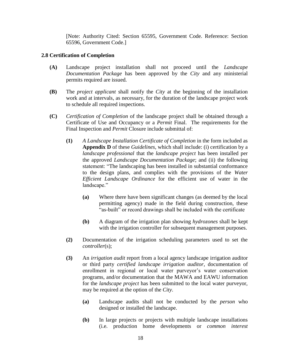[Note: Authority Cited: Section 65595, Government Code. Reference: Section 65596, Government Code.]

#### <span id="page-19-0"></span>**2.8 Certification of Completion**

- **(A)** Landscape project installation shall not proceed until the *Landscape Documentation Package* has been approved by the *City* and any ministerial permits required are issued.
- **(B)** The *project applicant* shall notify the *City* at the beginning of the installation work and at intervals, as necessary, for the duration of the landscape project work to schedule all required inspections.
- **(C)** *Certification of Completion* of the landscape project shall be obtained through a Certificate of Use and Occupancy or a *Permit* Final. The requirements for the Final Inspection and *Permit* Closure include submittal of:
	- **(1)** *A Landscape Installation Certificate of Completion* in the form included as **Appendix D** of these *Guidelines*, which shall include: (i) certification by a *landscape professional* that the *landscape project* has been installed per the approved *Landscape Documentation Package*; and (ii) the following statement: "The landscaping has been installed in substantial conformance to the design plans, and complies with the provisions of the *Water Efficient Landscape Ordinance* for the efficient use of water in the landscape."
		- **(a)** Where there have been significant changes (as deemed by the local permitting agency) made in the field during construction, these "as-built" or record drawings shall be included with the certificate
		- **(b)** A diagram of the irrigation plan showing *hydrozones* shall be kept with the irrigation controller for subsequent management purposes.
	- **(2)** Documentation of the irrigation scheduling parameters used to set the *controller*(s);
	- **(3)** An *irrigation audit* report from a local agency landscape irrigation auditor or third party *certified landscape irrigation auditor*, documentation of enrollment in regional or local water purveyor's water conservation programs, and/or documentation that the MAWA and EAWU information for the *landscape project* has been submitted to the local water purveyor, may be required at the option of the *City*.
		- **(a)** Landscape audits shall not be conducted by the *person* who designed or installed the landscape.
		- **(b)** In large projects or projects with multiple landscape installations (i.e. production home developments or *common interest*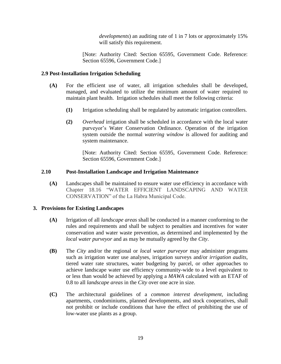*developments*) an auditing rate of 1 in 7 lots or approximately 15% will satisfy this requirement.

[Note: Authority Cited: Section 65595, Government Code. Reference: Section 65596, Government Code.]

#### <span id="page-20-0"></span>**2.9 Post-Installation Irrigation Scheduling**

- **(A)** For the efficient use of water, all irrigation schedules shall be developed, managed, and evaluated to utilize the minimum amount of water required to maintain plant health. Irrigation schedules shall meet the following criteria:
	- **(1)** Irrigation scheduling shall be regulated by automatic irrigation controllers.
	- **(2)** *Overhead* irrigation shall be scheduled in accordance with the local water purveyor's Water Conservation Ordinance. Operation of the irrigation system outside the normal *watering window* is allowed for auditing and system maintenance.

[Note: Authority Cited: Section 65595, Government Code. Reference: Section 65596, Government Code.]

#### <span id="page-20-1"></span>**2.10 Post-Installation Landscape and Irrigation Maintenance**

**(A)** Landscapes shall be maintained to ensure water use efficiency in accordance with Chapter 18.16 "WATER EFFICIENT LANDSCAPING AND WATER CONSERVATION" of the La Habra Municipal Code.

#### <span id="page-20-2"></span>**3. Provisions for Existing Landscapes**

- **(A)** Irrigation of all *landscape areas* shall be conducted in a manner conforming to the rules and requirements and shall be subject to penalties and incentives for water conservation and water waste prevention, as determined and implemented by the *local water purveyor* and as may be mutually agreed by the *City*.
- **(B)** The *City* and/or the regional or *local water purveyor* may administer programs such as irrigation water use analyses, irrigation surveys and/or *irrigation audits*, tiered water rate structures, water budgeting by parcel, or other approaches to achieve landscape water use efficiency community-wide to a level equivalent to or less than would be achieved by applying a *MAWA* calculated with an ETAF of 0.8 to all *landscape areas* in the *City* over one acre in size.
- **(C)** The architectural guidelines of a *common interest development*, including apartments, condominiums, planned developments, and stock cooperatives, shall not prohibit or include conditions that have the effect of prohibiting the use of low-water use plants as a group.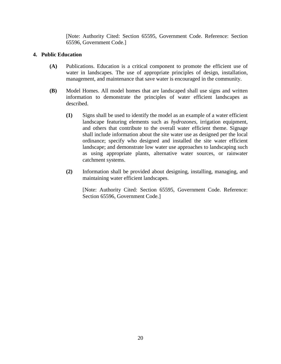[Note: Authority Cited: Section 65595, Government Code. Reference: Section 65596, Government Code.]

#### <span id="page-21-0"></span>**4. Public Education**

- **(A)** Publications. Education is a critical component to promote the efficient use of water in landscapes. The use of appropriate principles of design, installation, management, and maintenance that save water is encouraged in the community.
- **(B)** Model Homes. All model homes that are landscaped shall use signs and written information to demonstrate the principles of water efficient landscapes as described.
	- **(1)** Signs shall be used to identify the model as an example of a water efficient landscape featuring elements such as *hydrozones*, irrigation equipment, and others that contribute to the overall water efficient theme. Signage shall include information about the site water use as designed per the local ordinance; specify who designed and installed the site water efficient landscape; and demonstrate low water use approaches to landscaping such as using appropriate plants, alternative water sources, or rainwater catchment systems.
	- **(2)** Information shall be provided about designing, installing, managing, and maintaining water efficient landscapes.

[Note: Authority Cited: Section 65595, Government Code. Reference: Section 65596, Government Code.]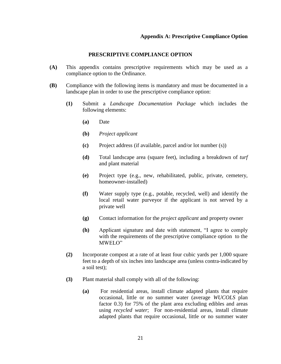#### **Appendix A: Prescriptive Compliance Option**

#### **PRESCRIPTIVE COMPLIANCE OPTION**

- <span id="page-22-0"></span>**(A)** This appendix contains prescriptive requirements which may be used as a compliance option to the Ordinance.
- **(B)** Compliance with the following items is mandatory and must be documented in a landscape plan in order to use the prescriptive compliance option:
	- **(1)** Submit a *Landscape Documentation Package* which includes the following elements:
		- **(a)** Date
		- **(b)** *Project applicant*
		- **(c)** Project address (if available, parcel and/or lot number (s))
		- **(d)** Total landscape area (square feet), including a breakdown of *turf* and plant material
		- **(e)** Project type (e.g., new, rehabilitated, public, private, cemetery, homeowner-installed)
		- **(f)** Water supply type (e.g., potable, recycled, well) and identify the local retail water purveyor if the applicant is not served by a private well
		- **(g)** Contact information for the *project applicant* and property owner
		- **(h)** Applicant signature and date with statement, "I agree to comply with the requirements of the prescriptive compliance option to the MWELO"
	- **(2)** Incorporate compost at a rate of at least four cubic yards per 1,000 square feet to a depth of six inches into landscape area (unless contra-indicated by a soil test);
	- **(3)** Plant material shall comply with all of the following:
		- **(a)** For residential areas, install climate adapted plants that require occasional, little or no summer water (average *WUCOLS* plan factor 0.3) for 75% of the plant area excluding edibles and areas using *recycled water*; For non-residential areas, install climate adapted plants that require occasional, little or no summer water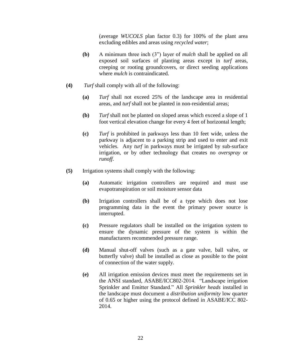(average *WUCOLS* plan factor 0.3) for 100% of the plant area excluding edibles and areas using *recycled water*;

- **(b)** A minimum three inch (3") layer of *mulch* shall be applied on all exposed soil surfaces of planting areas except in *turf* areas, creeping or rooting groundcovers, or direct seeding applications where *mulch* is contraindicated.
- **(4)** *Turf* shall comply with all of the following:
	- **(a)** *Turf* shall not exceed 25% of the landscape area in residential areas, and *turf* shall not be planted in non-residential areas;
	- **(b)** *Turf* shall not be planted on sloped areas which exceed a slope of 1 foot vertical elevation change for every 4 feet of horizontal length;
	- **(c)** *Turf* is prohibited in parkways less than 10 feet wide, unless the parkway is adjacent to a parking strip and used to enter and exit vehicles. Any *turf* in parkways must be irrigated by sub-surface irrigation, or by other technology that creates no *overspray* or *runoff*.
- **(5)** Irrigation systems shall comply with the following:
	- **(a)** Automatic irrigation controllers are required and must use evapotranspiration or soil moisture sensor data
	- **(b)** Irrigation controllers shall be of a type which does not lose programming data in the event the primary power source is interrupted.
	- **(c)** Pressure regulators shall be installed on the irrigation system to ensure the dynamic pressure of the system is within the manufacturers recommended pressure range.
	- **(d)** Manual shut-off valves (such as a gate valve, ball valve, or butterfly valve) shall be installed as close as possible to the point of connection of the water supply.
	- **(e)** All irrigation emission devices must meet the requirements set in the ANSI standard, ASABE/ICC802-2014. "Landscape irrigation Sprinkler and Emitter Standard." All *Sprinkler heads* installed in the landscape must document a *distribution uniformity* low quarter of 0.65 or higher using the protocol defined in ASABE/ICC 802- 2014.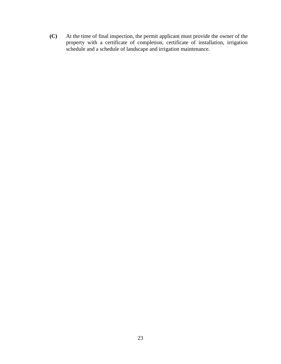**(C)** At the time of final inspection, the permit applicant must provide the owner of the property with a certificate of completion, certificate of installation, irrigation schedule and a schedule of landscape and irrigation maintenance.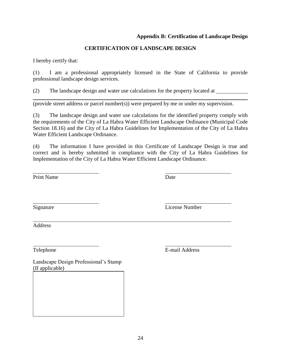### **Appendix B: Certification of Landscape Design**

#### **CERTIFICATION OF LANDSCAPE DESIGN**

<span id="page-25-0"></span>I hereby certify that:

(1) I am a professional appropriately licensed in the State of California to provide professional landscape design services.

(2) The landscape design and water use calculations for the property located at

(provide street address or parcel number(s)) were prepared by me or under my supervision.

(3) The landscape design and water use calculations for the identified property comply with the requirements of the City of La Habra Water Efficient Landscape Ordinance (Municipal Code Section 18.16) and the City of La Habra Guidelines for Implementation of the City of La Habra Water Efficient Landscape Ordinance.

(4) The information I have provided in this Certificate of Landscape Design is true and correct and is hereby submitted in compliance with the City of La Habra Guidelines for Implementation of the City of La Habra Water Efficient Landscape Ordinance.

Print Name Date

Signature License Number

Address

Landscape Design Professional's Stamp (If applicable)

Telephone E-mail Address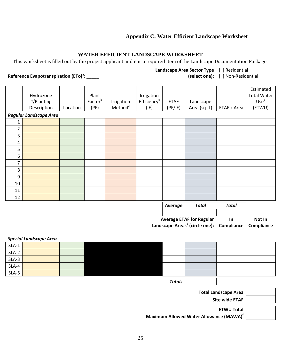#### **Appendix C: Water Efficient Landscape Worksheet**

#### **WATER EFFICIENT LANDSCAPE WORKSHEET**

<span id="page-26-0"></span>This worksheet is filled out by the project applicant and it is a required item of the Landscape Documentation Package.

#### **Reference Evapotranspiration (ETo)<sup>a</sup> : \_\_\_\_\_**

#### **Landscape Area Sector Type**  [ ] Residential

**(select one):** [ ] Non-Residential

|                                       |                        |          |         |                     |                         |             |                                            |              | Estimated          |
|---------------------------------------|------------------------|----------|---------|---------------------|-------------------------|-------------|--------------------------------------------|--------------|--------------------|
|                                       | Hydrozone              |          | Plant   |                     | Irrigation              |             |                                            |              | <b>Total Water</b> |
|                                       | #/Planting             |          | Factorb | Irrigation          | Efficiency <sup>c</sup> | <b>ETAF</b> | Landscape                                  |              | Use <sup>d</sup>   |
|                                       | Description            | Location | (PF)    | Method <sup>c</sup> | (IE)                    | (PF/IE)     | Area (sq-ft)                               | ETAF x Area  | (ETWU)             |
|                                       | Regular Landscape Area |          |         |                     |                         |             |                                            |              |                    |
| 1                                     |                        |          |         |                     |                         |             |                                            |              |                    |
| $\overline{2}$                        |                        |          |         |                     |                         |             |                                            |              |                    |
| 3                                     |                        |          |         |                     |                         |             |                                            |              |                    |
| $\overline{4}$                        |                        |          |         |                     |                         |             |                                            |              |                    |
| 5                                     |                        |          |         |                     |                         |             |                                            |              |                    |
| 6                                     |                        |          |         |                     |                         |             |                                            |              |                    |
| 7                                     |                        |          |         |                     |                         |             |                                            |              |                    |
| $\,8\,$                               |                        |          |         |                     |                         |             |                                            |              |                    |
| 9                                     |                        |          |         |                     |                         |             |                                            |              |                    |
| 10                                    |                        |          |         |                     |                         |             |                                            |              |                    |
| 11                                    |                        |          |         |                     |                         |             |                                            |              |                    |
| 12                                    |                        |          |         |                     |                         |             |                                            |              |                    |
|                                       |                        |          |         |                     |                         | Average     | <b>Total</b>                               | <b>Total</b> |                    |
|                                       |                        |          |         |                     |                         |             |                                            |              |                    |
| <b>Average ETAF for Regular</b><br>In |                        |          |         |                     |                         |             | Not In                                     |              |                    |
|                                       |                        |          |         |                     |                         |             | Landscape Areas <sup>e</sup> (circle one): | Compliance   | Compliance         |
|                                       |                        |          |         |                     |                         |             |                                            |              |                    |

|         | <b>Special Landscape Area</b> |  |               |  |  |
|---------|-------------------------------|--|---------------|--|--|
| $SLA-1$ |                               |  |               |  |  |
| $SLA-2$ |                               |  |               |  |  |
| $SLA-3$ |                               |  |               |  |  |
| $SLA-4$ |                               |  |               |  |  |
| $SLA-5$ |                               |  |               |  |  |
|         |                               |  | <b>Totals</b> |  |  |

| <b>Total Landscape Area</b> |
|-----------------------------|
| Site wide ETAF              |
| <b>ETWU Total</b>           |

**Maximum Allowed Water Allowance (MAWA)<sup>f</sup>**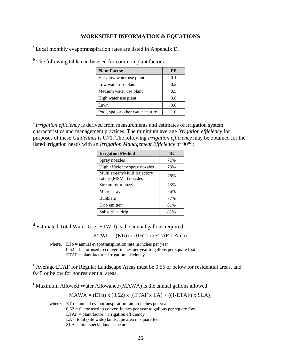#### **WORKSHEET INFORMATION & EQUATIONS**

<sup>a</sup> Local monthly evapotranspiration rates are listed in Appendix D.

<sup>b</sup> The following table can be used for common plant factors:

| <b>Plant Factor</b>               | РF  |
|-----------------------------------|-----|
| Very low water use plant          | 0.1 |
| Low water use plant               | 0.2 |
| Medium water use plant            | 0.5 |
| High water use plant              | 0.8 |
| Lawn                              | 0.8 |
| Pool, spa, or other water feature | 10  |

<sup>c</sup> Irrigation efficiency is derived from measurements and estimates of irrigation system characteristics and management practices. The minimum average *irrigation efficiency* for purposes of these *Guidelines* is 0.71. The following *irrigation efficiency* may be obtained for the listed irrigation heads with an *Irrigation Management Efficiency* of 90%:

| <b>Irrigation Method</b>                               | IE  |
|--------------------------------------------------------|-----|
| Spray nozzles                                          | 71% |
| High efficiency spray nozzles                          | 73% |
| Multi stream/Multi trajectory<br>rotary (MSMT) nozzles | 76% |
| Stream rotor nozzle                                    | 73% |
| Microspray                                             | 76% |
| <b>Bubblers</b>                                        | 77% |
| Drip emitter                                           | 81% |
| Subsurface drip                                        | 81% |

<sup>d</sup> Estimated Total Water Use (ETWU) is the annual gallons required

 $ETWU = (ETo) x (0.62) x (ETAF x Area)$ 

where,  $ETo =$  annual evapotranspiration rate in inches per year  $0.62$  = factor used to convert inches per year to gallons per square foot  $ETAF = plant factor \div irrigation efficiency$ 

<sup>e</sup> Average ETAF for Regular Landscape Areas must be 0.55 or below for residential areas, and 0.45 or below for nonresidential areas.

<sup>f</sup> Maximum Allowed Water Allowance (MAWA) is the annual gallons allowed

 $MAWA = (ETo) x (0.62) x [(ETAF x LA) + ((1-ETAF) x SLA)]$ 

where,  $ETo =$  annual evapotranspiration rate in inches per year  $0.62$  = factor used to convert inches per year to gallons per square foot  $ETAF = plant factor \div irri$  external efficiency  $LA = total$  (site wide) landscape area in square feet SLA = total special landscape area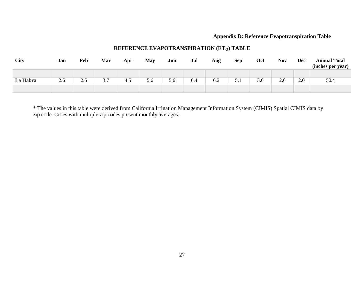#### **Appendix D: Reference Evapotranspiration Table**

| <b>City</b> | Jan | Feb | Mar | Apr | May | Jun | Jul | Aug | <b>Sep</b> | Oct | <b>Nov</b> | <b>Dec</b> | <b>Annual Total</b><br>(inches per year) |
|-------------|-----|-----|-----|-----|-----|-----|-----|-----|------------|-----|------------|------------|------------------------------------------|
| La Habra    | 2.6 | 2.5 | 3.7 | 4.5 | 5.6 | 5.6 | 6.4 | 6.2 | 5.1        | 3.6 | 2.6        | 2.0        | 50.4                                     |
|             |     |     |     |     |     |     |     |     |            |     |            |            |                                          |

#### **REFERENCE EVAPOTRANSPIRATION (ETO) TABLE**

<span id="page-28-0"></span>\* The values in this table were derived from California Irrigation Management Information System (CIMIS) Spatial CIMIS data by zip code. Cities with multiple zip codes present monthly averages.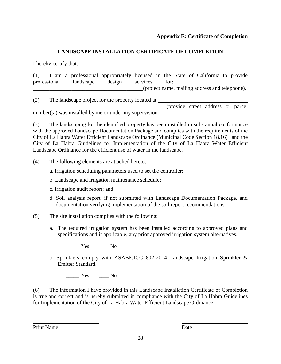#### **Appendix E: Certificate of Completion**

#### **LANDSCAPE INSTALLATION CERTIFICATE OF COMPLETION**

<span id="page-29-0"></span>I hereby certify that:

(1) I am a professional appropriately licensed in the State of California to provide professional landscape design services for: \_\_\_\_\_\_\_\_\_\_\_\_\_\_\_\_\_\_\_\_\_\_\_\_\_\_\_\_\_\_\_\_\_\_\_\_\_\_\_\_(project name, mailing address and telephone).

(2) The landscape project for the property located at

(provide street address or parcel number(s)) was installed by me or under my supervision.

(3) The landscaping for the identified property has been installed in substantial conformance with the approved Landscape Documentation Package and complies with the requirements of the City of La Habra Water Efficient Landscape Ordinance (Municipal Code Section 18.16) and the City of La Habra Guidelines for Implementation of the City of La Habra Water Efficient Landscape Ordinance for the efficient use of water in the landscape.

(4) The following elements are attached hereto:

a. Irrigation scheduling parameters used to set the controller;

b. Landscape and irrigation maintenance schedule;

c. Irrigation audit report; and

d. Soil analysis report, if not submitted with Landscape Documentation Package, and documentation verifying implementation of the soil report recommendations.

(5) The site installation complies with the following:

a. The required irrigation system has been installed according to approved plans and specifications and if applicable, any prior approved irrigation system alternatives.

Yes No

b. Sprinklers comply with ASABE/ICC 802-2014 Landscape Irrigation Sprinkler & Emitter Standard.

\_\_\_\_\_ Yes \_\_\_\_ No

(6) The information I have provided in this Landscape Installation Certificate of Completion is true and correct and is hereby submitted in compliance with the City of La Habra Guidelines for Implementation of the City of La Habra Water Efficient Landscape Ordinance.

Print Name Date **Date**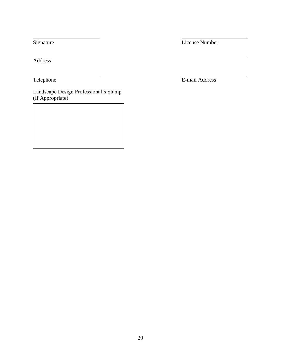Signature License Number

Address

Landscape Design Professional's Stamp (If Appropriate)

Telephone E-mail Address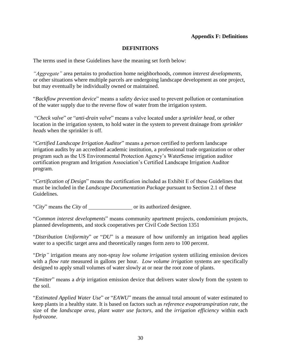#### **DEFINITIONS**

<span id="page-31-0"></span>The terms used in these Guidelines have the meaning set forth below:

*"Aggregate"* area pertains to production home neighborhoods, *common interest developments,* or other situations where multiple parcels are undergoing landscape development as one project, but may eventually be individually owned or maintained.

"*Backflow prevention device*" means a safety device used to prevent pollution or contamination of the water supply due to the reverse flow of water from the irrigation system.

"*Check valve*" or "*anti-drain valve*" means a valve located under a *sprinkler head*, or other location in the irrigation system, to hold water in the system to prevent drainage from *sprinkler heads* when the sprinkler is off.

"*Certified Landscape Irrigation Auditor*" means a *person* certified to perform landscape irrigation audits by an accredited academic institution, a professional trade organization or other program such as the US Environmental Protection Agency's WaterSense irrigation auditor certification program and Irrigation Association's Certified Landscape Irrigation Auditor program.

"*Certification of Design*" means the certification included as Exhibit E of these Guidelines that must be included in the *Landscape Documentation Package* pursuant to Section 2.1 of these Guidelines.

"*City*" means the *City* of or its authorized designee.

"*Common interest developments*" means community apartment projects, condominium projects, planned developments, and stock cooperatives per Civil Code Section 1351

"*Distribution Uniformity*" or "*DU*" is a measure of how uniformly an irrigation head applies water to a specific target area and theoretically ranges form zero to 100 percent.

"*Drip"* irrigation means any non-spray *low volume irrigation* system utilizing emission devices with a *flow rate* measured in gallons per hour. *Low volume irrigation* systems are specifically designed to apply small volumes of water slowly at or near the root zone of plants.

"*Emitter*" means a *drip* irrigation emission device that delivers water slowly from the system to the soil.

"*Estimated Applied Water Use*" or "*EAWU*" means the annual total amount of water estimated to keep plants in a healthy state. It is based on factors such as *reference evapotranspiration rate*, the size of the *landscape area*, *plant water use factors*, and the *irrigation efficiency* within each *hydrozone*.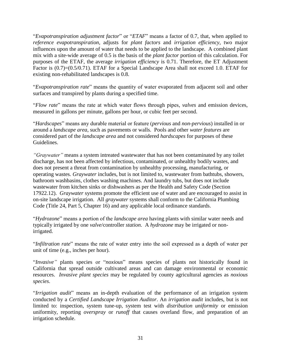"*Evapotranspiration adjustment factor*" or "*ETAF*" means a factor of 0.7, that, when applied to *reference evapotranspiration*, adjusts for *plant factors* and *irrigation efficiency*, two major influences upon the amount of water that needs to be applied to the landscape. A combined plant mix with a site-wide average of 0.5 is the basis of the *plant factor* portion of this calculation. For purposes of the ETAF, the average *irrigation efficiency* is 0.71. Therefore, the ET Adjustment Factor is  $(0.7)=(0.5/0.71)$ . ETAF for a Special Landscape Area shall not exceed 1.0. ETAF for existing non-rehabilitated landscapes is 0.8.

"*Evapotranspiration rate*" means the quantity of water evaporated from adjacent soil and other surfaces and transpired by plants during a specified time.

"*Flow rate*" means the rate at which water flows through pipes, *valves* and emission devices, measured in gallons per minute, gallons per hour, or cubic feet per second.

"*Hardscapes*" means any durable material or feature (*pervious* and *non-pervious*) installed in or around a *landscape area*, such as pavements or walls. Pools and other *water features* are considered part of the *landscape area* and not considered *hardscapes* for purposes of these Guidelines.

*"Graywater"* means a system intreated wastewater that has not been contaminated by any toilet discharge, has not been affected by infectious, contaminated, or unhealthy bodily wastes, and does not present a threat from contamination by unhealthy processing, manufacturing, or operating wastes. *Graywater* includes, but is not limited to, wastewater from bathtubs, showers, bathroom washbasins, clothes washing machines. And laundry tubs, but does not include wastewater from kitchen sinks or dishwashers as per the Health and Safety Code (Section 17922.12). *Graywater* systems promote the efficient use of water and are encouraged to assist in on-site landscape irrigation. All *graywater* systems shall conform to the California Plumbing Code (Title 24, Part 5, Chapter 16) and any applicable local ordinance standards.

"*Hydrozone*" means a portion of the *landscape area* having plants with similar water needs and typically irrigated by one *valve*/controller *station*. A *hydrozone* may be irrigated or nonirrigated.

"*Infiltration rate*" means the rate of water entry into the soil expressed as a depth of water per unit of time (e.g., inches per hour).

"*Invasive"* plants species or "*noxious*" means species of plants not historically found in California that spread outside cultivated areas and can damage environmental or economic resources. *Invasive plant species* may be regulated by county agricultural agencies as *noxious species*.

"*Irrigation audit*" means an in-depth evaluation of the performance of an irrigation system conducted by a *Certified Landscape Irrigation Auditor*. An *irrigation audit* includes, but is not limited to: inspection, system tune-up, system test with *distribution uniformity* or emission uniformity, reporting *overspray* or *runoff* that causes overland flow, and preparation of an irrigation schedule.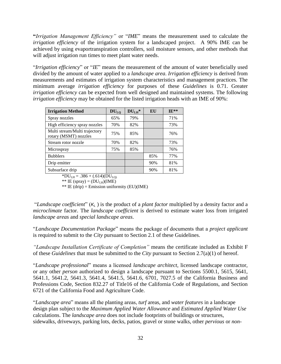**"***Irrigation Management Efficiency"* or "*IME*" means the measurement used to calculate the *irrigation efficiency* of the irrigation system for a landscaped project. A 90% IME can be achieved by using evaportranspiration controllers, soil moisture sensors, and other methods that will adjust irrigation run times to meet plant water needs.

"*Irrigation efficiency*" or "*IE*" means the measurement of the amount of water beneficially used divided by the amount of water applied to a *landscape area*. *Irrigation efficiency* is derived from measurements and estimates of irrigation system characteristics and management practices. The minimum average *irrigation efficiency* for purposes of these *Guidelines* is 0.71. Greater *irrigation efficiency* can be expected from well designed and maintained systems. The following *irrigation efficiency* may be obtained for the listed irrigation heads with an IME of 90%:

| <b>Irrigation Method</b>                               | DU <sub>LO</sub> | $DULI$ * | EU  | $IF**$ |
|--------------------------------------------------------|------------------|----------|-----|--------|
| Spray nozzles                                          | 65%              | 79%      |     | 71%    |
| High efficiency spray nozzles                          | 70%              | 82%      |     | 73%    |
| Multi stream/Multi trajectory<br>rotary (MSMT) nozzles | 75%              | 85%      |     | 76%    |
| Stream rotor nozzle                                    | 70%              | 82%      |     | 73%    |
| Microspray                                             | 75%              | 85%      |     | 76%    |
| <b>Bubblers</b>                                        |                  |          | 85% | 77%    |
| Drip emitter                                           |                  |          | 90% | 81%    |
| Subsurface drip                                        |                  |          | 90% | 81%    |

 $*DU_{LH} = .386 + (.614)(DU_{LQ}$ 

\*\* IE (spray) =  $(DU_{LH})(IME)$ 

\*\* IE (drip) = Emission uniformity (EU)(IME)

"*Landscape coefficient*" (*K<sup>L</sup>* ) is the product of a *plant factor* multiplied by a density factor and a *microclimate* factor. The *landscape coefficient* is derived to estimate water loss from irrigated *landscape areas* and *special landscape areas*.

"*Landscape Documentation Package*" means the package of documents that a *project applicant* is required to submit to the *City* pursuant to Section 2.1 of these Guidelines.

*"Landscape Installation Certificate of Completion"* means the certificate included as Exhibit F of these *Guidelines* that must be submitted to the *City* pursuant to Section 2.7(a)(1) of hereof.

"*Landscape professional*" means a licensed *landscape architect*, licensed landscape contractor, or any other *person* authorized to design a landscape pursuant to Sections 5500.1, 5615, 5641, 5641.1, 5641.2, 5641.3, 5641.4, 5641.5, 5641.6, 6701, 7027.5 of the California Business and Professions Code, Section 832.27 of Title16 of the California Code of Regulations, and Section 6721 of the California Food and Agriculture Code.

"*Landscape area*" means all the planting areas, *turf* areas, and *water features* in a landscape design plan subject to the *Maximum Applied Water Allowance* and *Estimated Applied Water Use* calculations. The *landscape area* does not include footprints of buildings or structures, sidewalks, driveways, parking lots, decks, patios, gravel or stone walks, other *pervious* or *non-*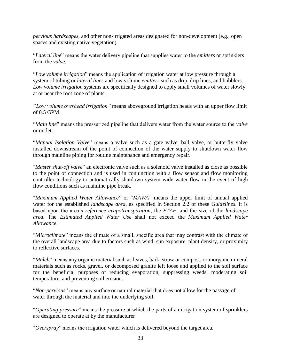*pervious hardscapes*, and other non-irrigated areas designated for non-development (e.g., open spaces and existing native vegetation).

"*Lateral line*" means the water delivery pipeline that supplies water to the *emitters* or sprinklers from the *valve*.

"*Low volume irrigation*" means the application of irrigation water at low pressure through a system of tubing or *lateral lines* and low volume *emitters* such as drip, drip lines, and bubblers. *Low volume irrigation* systems are specifically designed to apply small volumes of water slowly at or near the root zone of plants.

*"Low volume overhead irrigation"* means aboveground irrigation heads with an upper flow limit of 0.5 GPM.

"*Main line*" means the pressurized pipeline that delivers water from the water source to the *valve* or outlet.

"*Manual Isolation Valve*" means a valve such as a gate valve, ball valve, or butterfly valve installed downstream of the point of connection of the water supply to shutdown water flow through mainline piping for routine maintenance and emergency repair.

"*Master shut-off valve*" an electronic valve such as a solenoid valve installed as close as possible to the point of connection and is used in conjunction with a flow sensor and flow monitoring controller technology to automatically shutdown system wide water flow in the event of high flow conditions such as mainline pipe break.

"*Maximum Applied Water Allowance*" or "*MAWA*" means the upper limit of annual applied water for the established *landscape area,* as specified in Section 2.2 of these *Guidelines*. It is based upon the area's *reference evapotranspiration*, the *ETAF*, and the size of the *landscape area*. The *Estimated Applied Water Use* shall not exceed the *Maximum Applied Water Allowance*.

"M*icroclimate*" means the climate of a small, specific area that may contrast with the climate of the overall landscape area due to factors such as wind, sun exposure, plant density, or proximity to reflective surfaces.

"*Mulch*" means any organic material such as leaves, bark, straw or compost, or inorganic mineral materials such as rocks, gravel, or decomposed granite left loose and applied to the soil surface for the beneficial purposes of reducing evaporation, suppressing weeds, moderating soil temperature, and preventing soil erosion.

"*Non-pervious*" means any surface or natural material that does not allow for the passage of water through the material and into the underlying soil.

"*Operating pressure*" means the pressure at which the parts of an irrigation system of sprinklers are designed to operate at by the manufacturer

"*Overspray*" means the irrigation water which is delivered beyond the target area.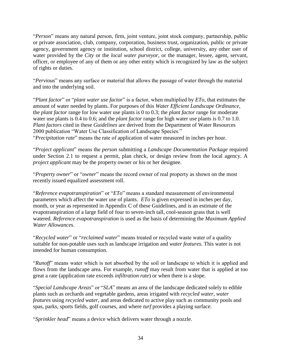"*Person*" means any natural person, firm, joint venture, joint stock company, partnership, public or private association, club, company, corporation, business trust, organization, public or private agency, government agency or institution, school district, college, university, any other user of water provided by the *City* or the *local water purveyor*, or the manager, lessee, agent, servant, officer, or employee of any of them or any other entity which is recognized by law as the subject of rights or duties.

"*Pervious*" means any surface or material that allows the passage of water through the material and into the underlying soil.

"*Plant factor*" or "*plant water use factor*" is a factor, when multiplied by *ETo*, that estimates the amount of water needed by plants. For purposes of this *Water Efficient Landscape Ordinance*, the *plant factor* range for low water use plants is 0 to 0.3; the *plant factor* range for moderate water use plants is 0.4 to 0.6; and the *plant factor* range for high water use plants is 0.7 to 1.0. *Plant factors* cited in these *Guidelines* are derived from the Department of Water Resources 2000 publication "Water Use Classification of Landscape Species." "*Precipitation rate*" means the rate of application of water measured in inches per hour.

"*Project applicant*" means the *person* submitting a *Landscape Documentation Package* required under Section 2.1 to request a permit, plan check, or design review from the local agency. A *project applicant* may be the property owner or his or her designee.

"*Property owner*" or "*owner*" means the record owner of real property as shown on the most recently issued equalized assessment roll.

"*Reference evapotranspiration*" or "*ETo*" means a standard measurement of environmental parameters which affect the water use of plants. *ETo* is given expressed in inches per day, month, or year as represented in Appendix C of these Guidelines, and is an estimate of the evapotranspiration of a large field of four to seven-inch tall, cool-season grass that is well watered. *Reference evapotranspiration* is used as the basis of determining the *Maximum Applied Water Allowance*s.

"*Recycled water*" or "*reclaimed water*" means treated or recycled waste water of a quality suitable for non-potable uses such as landscape irrigation and *water features*. This water is not intended for human consumption.

"*Runoff*" means water which is not absorbed by the soil or landscape to which it is applied and flows from the landscape area. For example, *runoff* may result from water that is applied at too great a rate (application rate exceeds *infiltration rate*) or when there is a slope.

"*Special Landscape Areas*" or "*SLA*" means an area of the landscape dedicated solely to edible plants such as orchards and vegetable gardens, areas irrigated with *recycled water*, *water features* using *recycled water*, and areas dedicated to active play such as community pools and spas, parks, sports fields, golf courses, and where *turf* provides a playing surface.

"*Sprinkler head*" means a device which delivers water through a nozzle.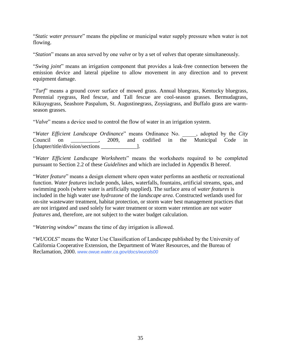"*Static water pressure*" means the pipeline or municipal water supply pressure when water is not flowing.

"*Station*" means an area served by one *valve* or by a set of *valves* that operate simultaneously.

"*Swing joint*" means an irrigation component that provides a leak-free connection between the emission device and lateral pipeline to allow movement in any direction and to prevent equipment damage.

"*Turf*" means a ground cover surface of mowed grass. Annual bluegrass, Kentucky bluegrass, Perennial ryegrass, Red fescue, and Tall fescue are cool-season grasses. Bermudagrass, Kikuyugrass, Seashore Paspalum, St. Augustinegrass, Zoysiagrass, and Buffalo grass are warmseason grasses.

"*Valve*" means a device used to control the flow of water in an irrigation system.

"*Water Efficient Landscape Ordinance*" means Ordinance No. \_\_\_\_\_, adopted by the *City* Council on  $\sim$  2009, and codified in the Municipal Code in [chapter/title/division/sections \_\_\_\_\_\_\_\_\_\_\_\_\_].

"*Water Efficient Landscape Worksheets*" means the worksheets required to be completed pursuant to Section 2.2 of these *Guidelines* and which are included in Appendix B hereof.

"*Water feature*" means a design element where open water performs an aesthetic or recreational function. *Water features* include ponds, lakes, waterfalls, fountains, artificial streams, spas, and swimming pools (where water is artificially supplied). The surface area of *water features* is included in the high water use *hydrozone* of the *landscape area*. Constructed wetlands used for on-site wastewater treatment, habitat protection, or storm water best management practices that are not irrigated and used solely for water treatment or storm water retention are not *water features* and, therefore, are not subject to the water budget calculation.

"*Watering window*" means the time of day irrigation is allowed.

"*WUCOLS*" means the Water Use Classification of Landscape published by the University of California Cooperative Extension, the Department of Water Resources, and the Bureau of Reclamation, 2000. *www.owue.water.ca.gov/docs/wucols00*